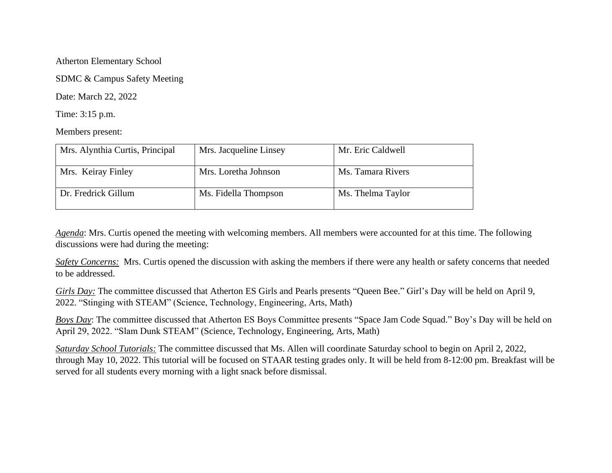Atherton Elementary School

SDMC & Campus Safety Meeting

Date: March 22, 2022

Time: 3:15 p.m.

Members present:

| Mrs. Alynthia Curtis, Principal | Mrs. Jacqueline Linsey | Mr. Eric Caldwell |
|---------------------------------|------------------------|-------------------|
| Mrs. Keiray Finley              | Mrs. Loretha Johnson   | Ms. Tamara Rivers |
| Dr. Fredrick Gillum             | Ms. Fidella Thompson   | Ms. Thelma Taylor |

*Agenda*: Mrs. Curtis opened the meeting with welcoming members. All members were accounted for at this time. The following discussions were had during the meeting:

*Safety Concerns:* Mrs. Curtis opened the discussion with asking the members if there were any health or safety concerns that needed to be addressed.

*Girls Day:* The committee discussed that Atherton ES Girls and Pearls presents "Queen Bee." Girl's Day will be held on April 9, 2022. "Stinging with STEAM" (Science, Technology, Engineering, Arts, Math)

*Boys Day*: The committee discussed that Atherton ES Boys Committee presents "Space Jam Code Squad." Boy's Day will be held on April 29, 2022. "Slam Dunk STEAM" (Science, Technology, Engineering, Arts, Math)

*Saturday School Tutorials:* The committee discussed that Ms. Allen will coordinate Saturday school to begin on April 2, 2022, through May 10, 2022. This tutorial will be focused on STAAR testing grades only. It will be held from 8-12:00 pm. Breakfast will be served for all students every morning with a light snack before dismissal.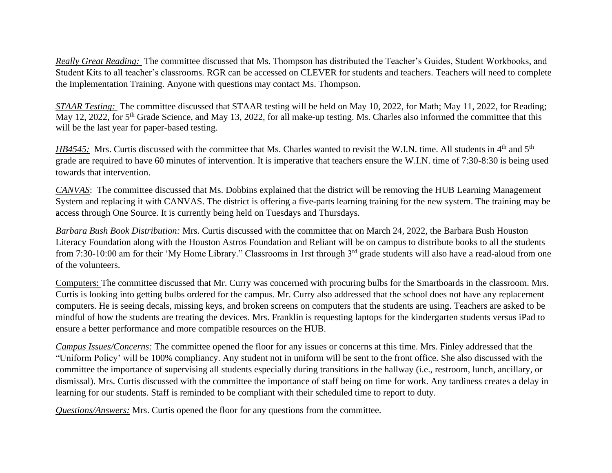*Really Great Reading:* The committee discussed that Ms. Thompson has distributed the Teacher's Guides, Student Workbooks, and Student Kits to all teacher's classrooms. RGR can be accessed on CLEVER for students and teachers. Teachers will need to complete the Implementation Training. Anyone with questions may contact Ms. Thompson.

*STAAR Testing:* The committee discussed that STAAR testing will be held on May 10, 2022, for Math; May 11, 2022, for Reading; May 12, 2022, for 5<sup>th</sup> Grade Science, and May 13, 2022, for all make-up testing. Ms. Charles also informed the committee that this will be the last year for paper-based testing.

*HB4545:* Mrs. Curtis discussed with the committee that Ms. Charles wanted to revisit the W.I.N. time. All students in 4<sup>th</sup> and 5<sup>th</sup> grade are required to have 60 minutes of intervention. It is imperative that teachers ensure the W.I.N. time of 7:30-8:30 is being used towards that intervention.

*CANVAS*: The committee discussed that Ms. Dobbins explained that the district will be removing the HUB Learning Management System and replacing it with CANVAS. The district is offering a five-parts learning training for the new system. The training may be access through One Source. It is currently being held on Tuesdays and Thursdays.

*Barbara Bush Book Distribution:* Mrs. Curtis discussed with the committee that on March 24, 2022, the Barbara Bush Houston Literacy Foundation along with the Houston Astros Foundation and Reliant will be on campus to distribute books to all the students from 7:30-10:00 am for their 'My Home Library." Classrooms in 1rst through 3<sup>rd</sup> grade students will also have a read-aloud from one of the volunteers.

Computers: The committee discussed that Mr. Curry was concerned with procuring bulbs for the Smartboards in the classroom. Mrs. Curtis is looking into getting bulbs ordered for the campus. Mr. Curry also addressed that the school does not have any replacement computers. He is seeing decals, missing keys, and broken screens on computers that the students are using. Teachers are asked to be mindful of how the students are treating the devices. Mrs. Franklin is requesting laptops for the kindergarten students versus iPad to ensure a better performance and more compatible resources on the HUB.

*Campus Issues/Concerns:* The committee opened the floor for any issues or concerns at this time. Mrs. Finley addressed that the "Uniform Policy' will be 100% compliancy. Any student not in uniform will be sent to the front office. She also discussed with the committee the importance of supervising all students especially during transitions in the hallway (i.e., restroom, lunch, ancillary, or dismissal). Mrs. Curtis discussed with the committee the importance of staff being on time for work. Any tardiness creates a delay in learning for our students. Staff is reminded to be compliant with their scheduled time to report to duty.

*Questions/Answers:* Mrs. Curtis opened the floor for any questions from the committee.